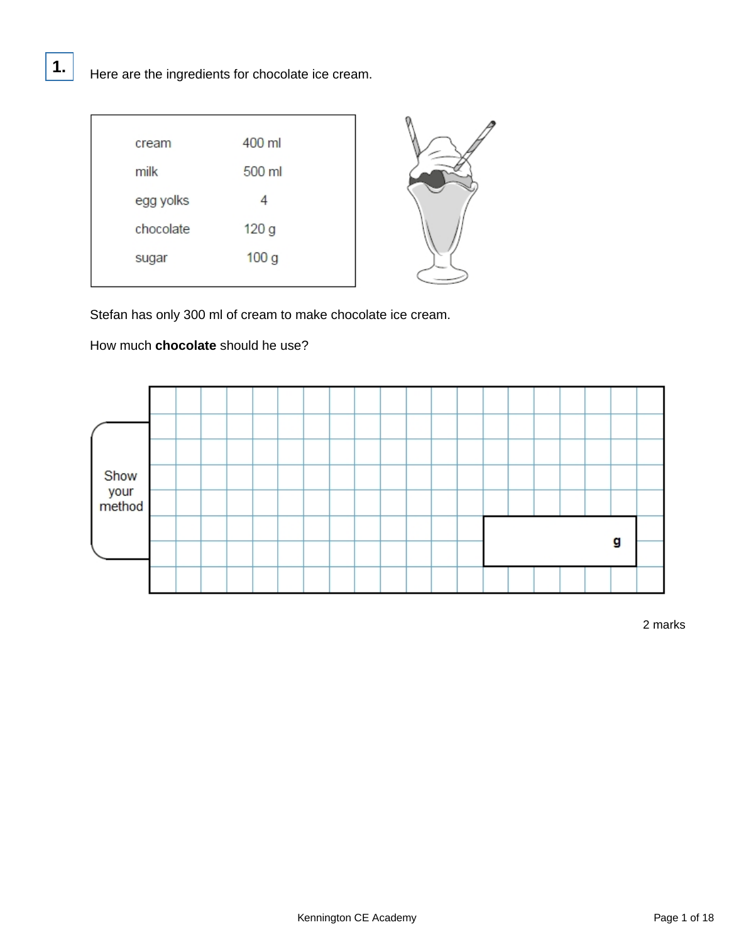| cream     | 400 ml           |  |
|-----------|------------------|--|
| milk      | 500 ml           |  |
| egg yolks |                  |  |
| chocolate | 120 g            |  |
| sugar     | 100 <sub>g</sub> |  |
|           |                  |  |

Stefan has only 300 ml of cream to make chocolate ice cream.

### How much **chocolate** should he use?

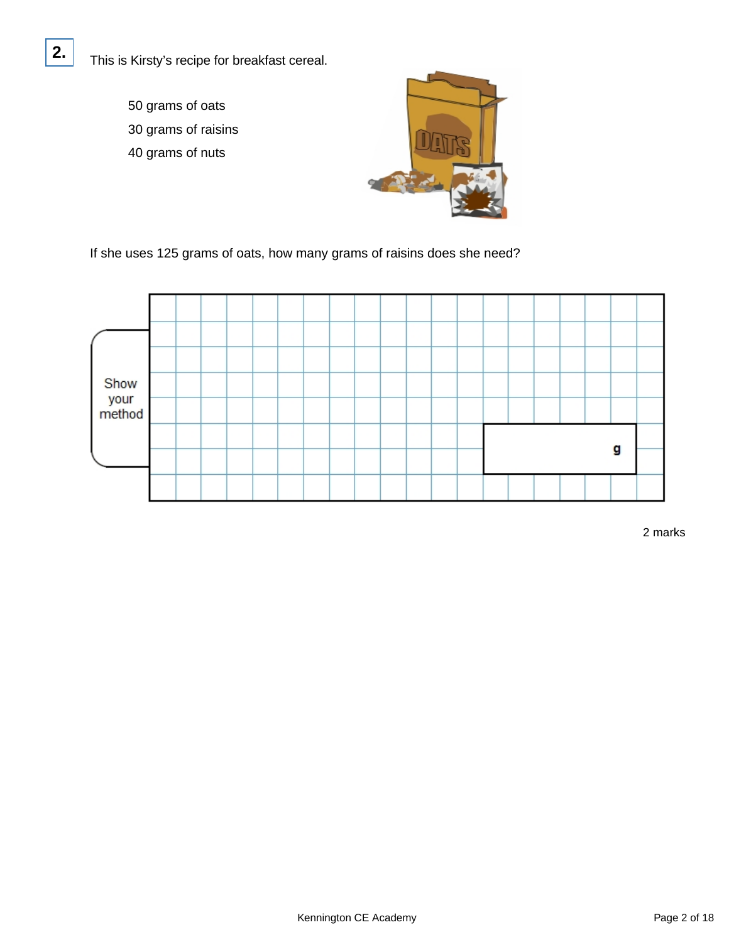This is Kirsty's recipe for breakfast cereal.

50 grams of oats 30 grams of raisins

**2.**

40 grams of nuts



If she uses 125 grams of oats, how many grams of raisins does she need?

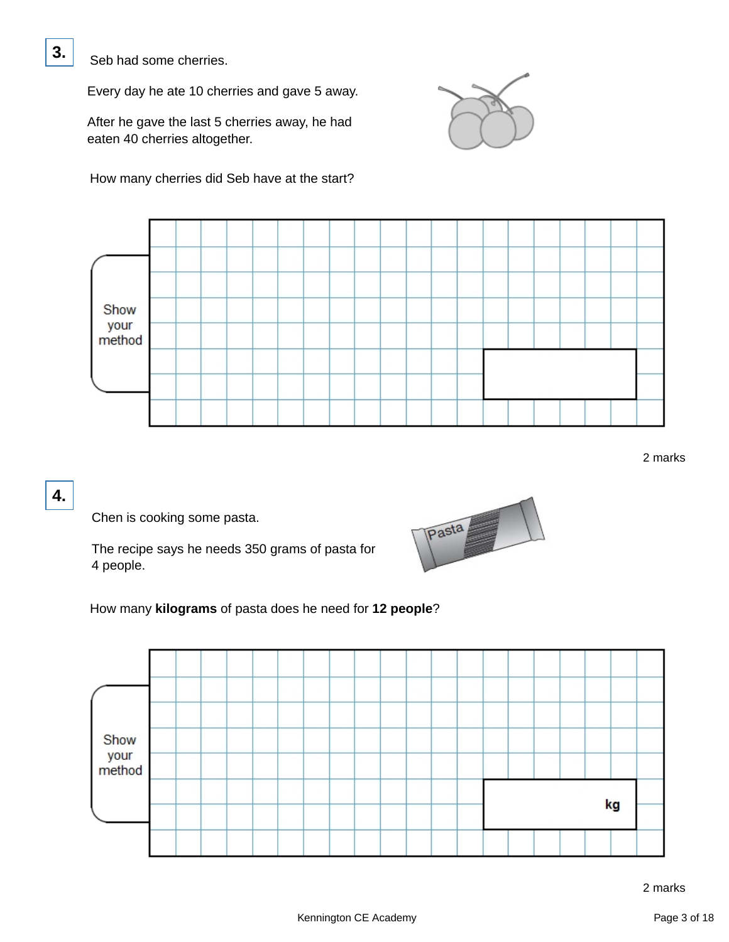Seb had some cherries.

Every day he ate 10 cherries and gave 5 away.

After he gave the last 5 cherries away, he had eaten 40 cherries altogether.

How many cherries did Seb have at the start?





2 marks

## **4.**

Chen is cooking some pasta.

The recipe says he needs 350 grams of pasta for 4 people.



How many **kilograms** of pasta does he need for **12 people**?

| Show<br>your<br>method |  |  |  |  |  |  |    |  |  |  |  |  |
|------------------------|--|--|--|--|--|--|----|--|--|--|--|--|
|                        |  |  |  |  |  |  |    |  |  |  |  |  |
|                        |  |  |  |  |  |  | kg |  |  |  |  |  |
|                        |  |  |  |  |  |  |    |  |  |  |  |  |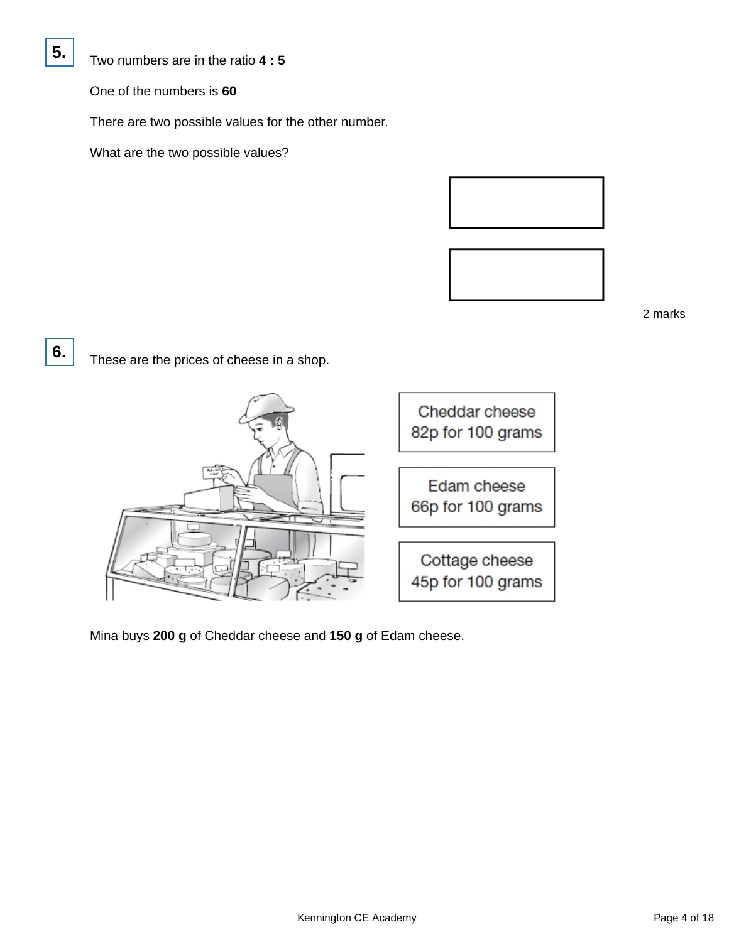

Two numbers are in the ratio **4 : 5**

One of the numbers is **60**

There are two possible values for the other number.

What are the two possible values?



2 marks

**6.**

These are the prices of cheese in a shop.



Mina buys **200 g** of Cheddar cheese and **150 g** of Edam cheese.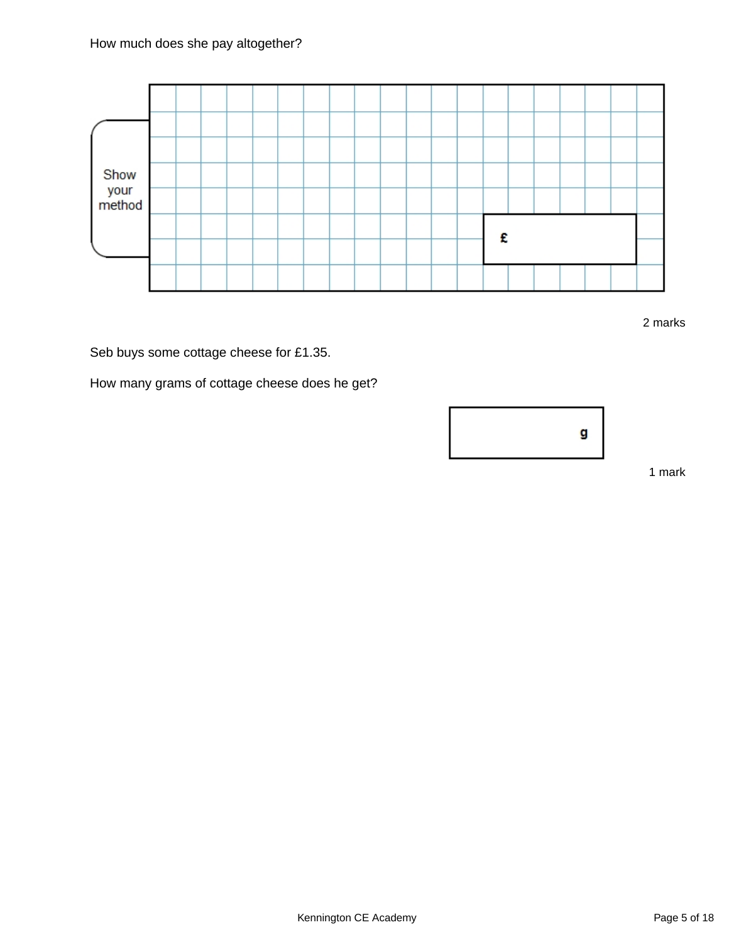

2 marks

Seb buys some cottage cheese for £1.35.

How many grams of cottage cheese does he get?



1 mark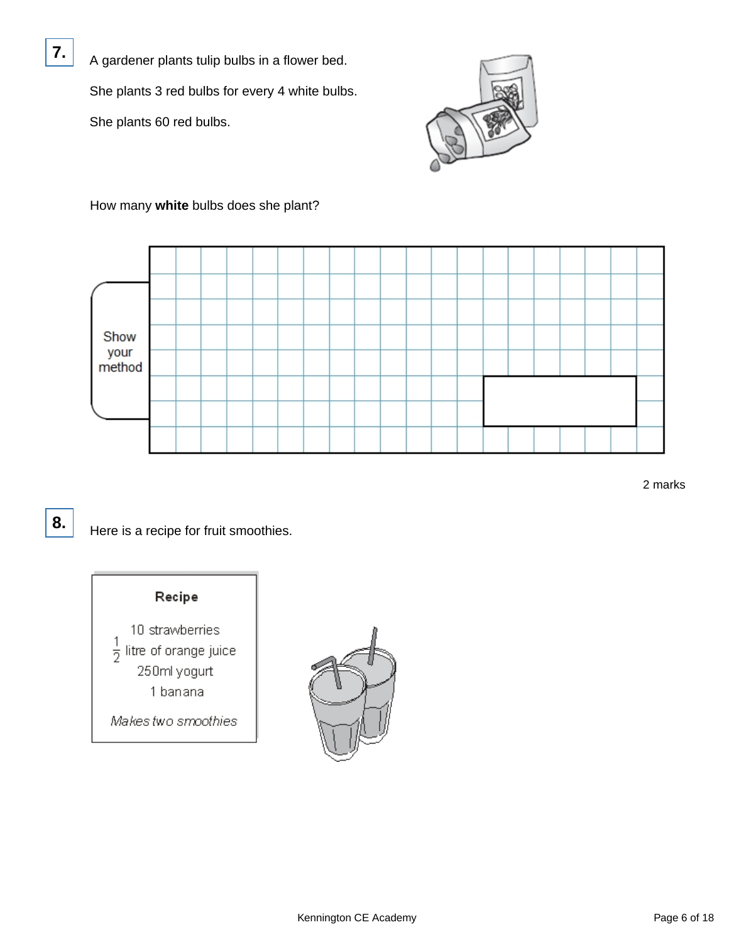A gardener plants tulip bulbs in a flower bed. She plants 3 red bulbs for every 4 white bulbs. She plants 60 red bulbs.



How many **white** bulbs does she plant?



2 marks

8. Here is a recipe for fruit smoothies.



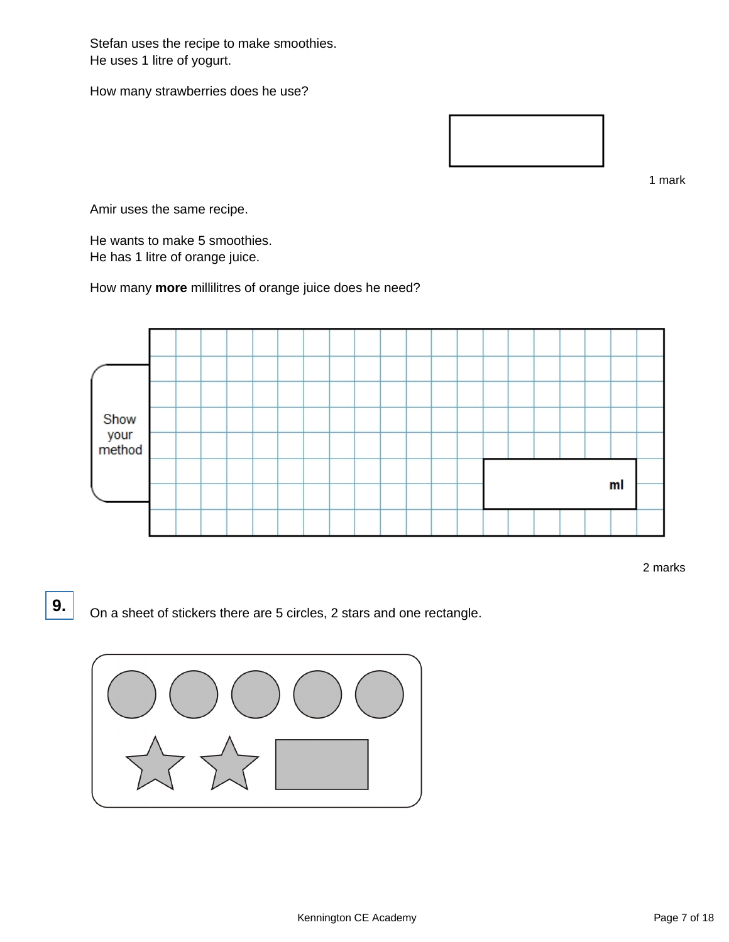Stefan uses the recipe to make smoothies. He uses 1 litre of yogurt.

How many strawberries does he use?



1 mark

Amir uses the same recipe.

He wants to make 5 smoothies. He has 1 litre of orange juice.

How many **more** millilitres of orange juice does he need?



2 marks

**9.** On a sheet of stickers there are 5 circles, 2 stars and one rectangle.

![](_page_6_Picture_11.jpeg)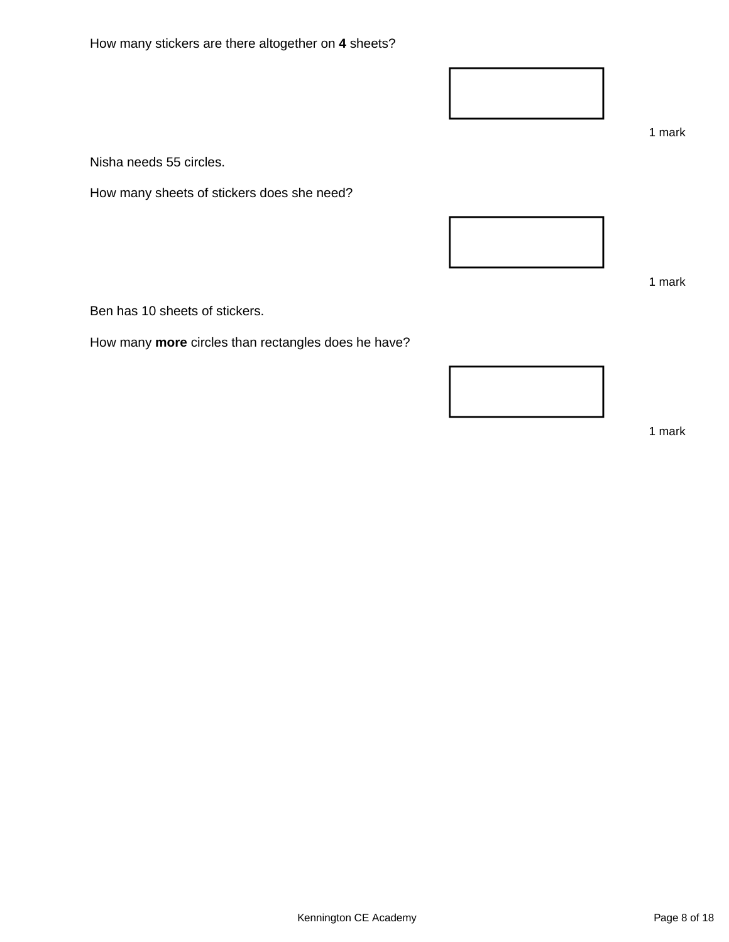How many stickers are there altogether on **4** sheets?

Nisha needs 55 circles.

How many sheets of stickers does she need?

Ben has 10 sheets of stickers.

How many **more** circles than rectangles does he have?

![](_page_7_Picture_6.jpeg)

1 mark

1 mark

1 mark

![](_page_7_Picture_8.jpeg)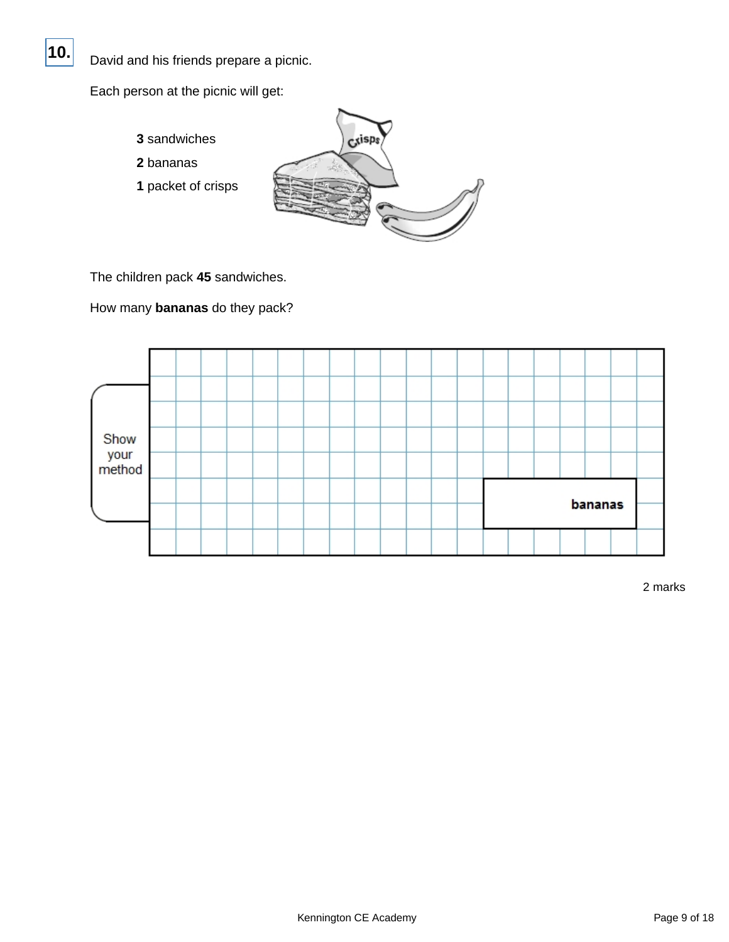![](_page_8_Picture_0.jpeg)

David and his friends prepare a picnic.

Each person at the picnic will get:

- **3** sandwiches
- **2** bananas
- **1** packet of crisps

![](_page_8_Picture_6.jpeg)

The children pack **45** sandwiches.

How many **bananas** do they pack?

| Show<br>your<br>method |  |  |  |  |  |  |         |  |  |  |  |  |  |
|------------------------|--|--|--|--|--|--|---------|--|--|--|--|--|--|
|                        |  |  |  |  |  |  |         |  |  |  |  |  |  |
|                        |  |  |  |  |  |  | bananas |  |  |  |  |  |  |
|                        |  |  |  |  |  |  |         |  |  |  |  |  |  |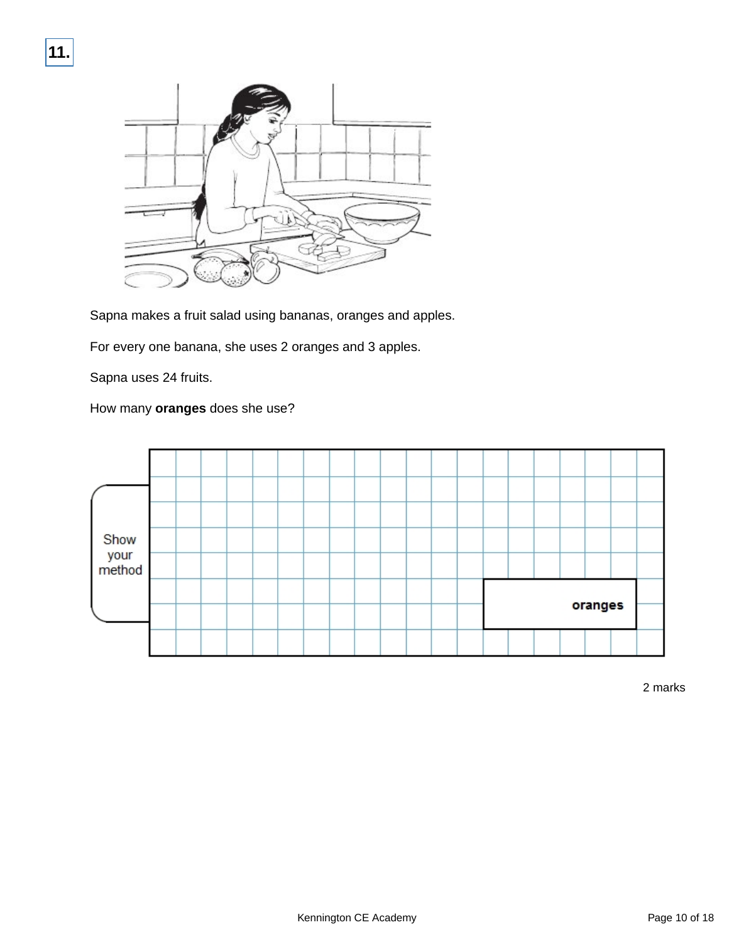![](_page_9_Picture_1.jpeg)

Sapna makes a fruit salad using bananas, oranges and apples.

For every one banana, she uses 2 oranges and 3 apples.

Sapna uses 24 fruits.

How many **oranges** does she use?

![](_page_9_Figure_6.jpeg)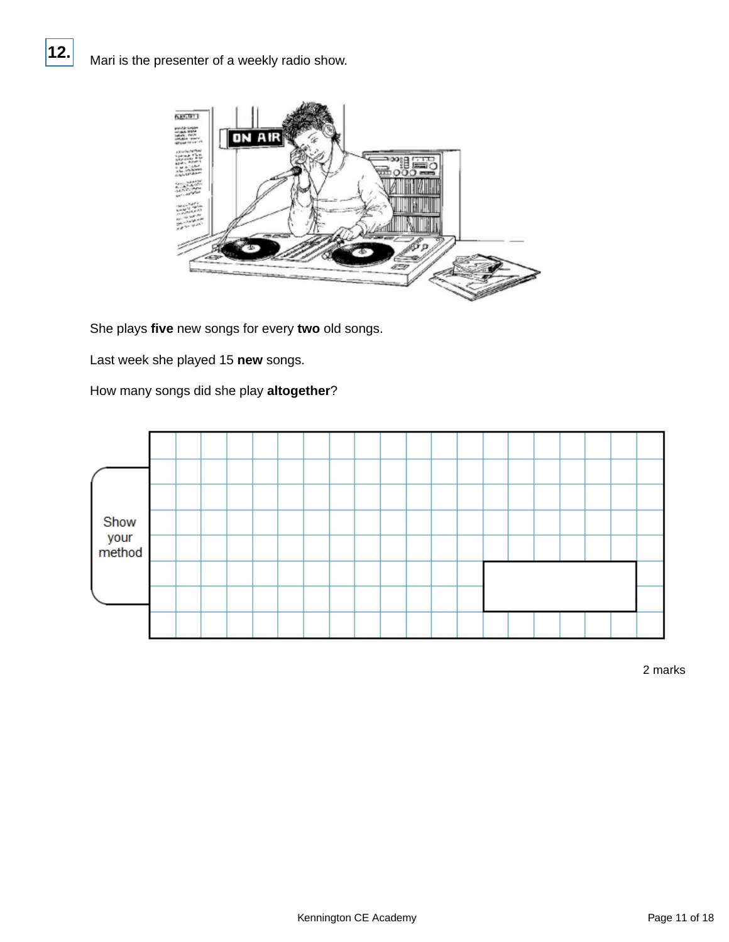![](_page_10_Picture_1.jpeg)

She plays **five** new songs for every **two** old songs.

Last week she played 15 **new** songs.

How many songs did she play **altogether**?

![](_page_10_Figure_5.jpeg)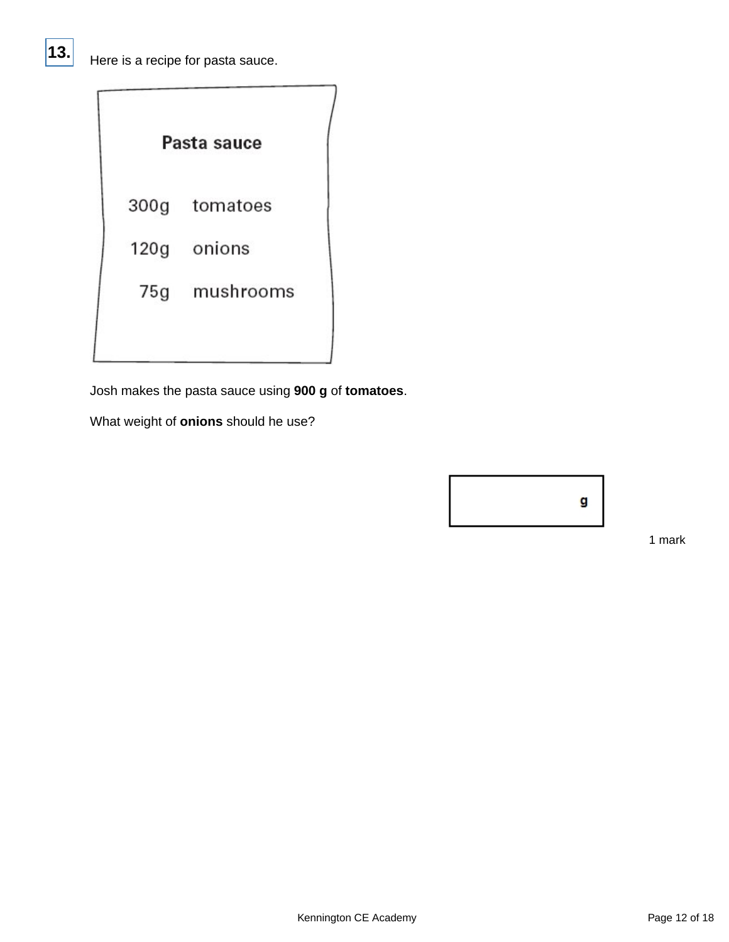|  | Pasta sauce   |  |
|--|---------------|--|
|  | 300g tomatoes |  |
|  | 120g onions   |  |
|  | 75g mushrooms |  |
|  |               |  |

Josh makes the pasta sauce using **900 g** of **tomatoes**.

What weight of **onions** should he use?

![](_page_11_Figure_4.jpeg)

1 mark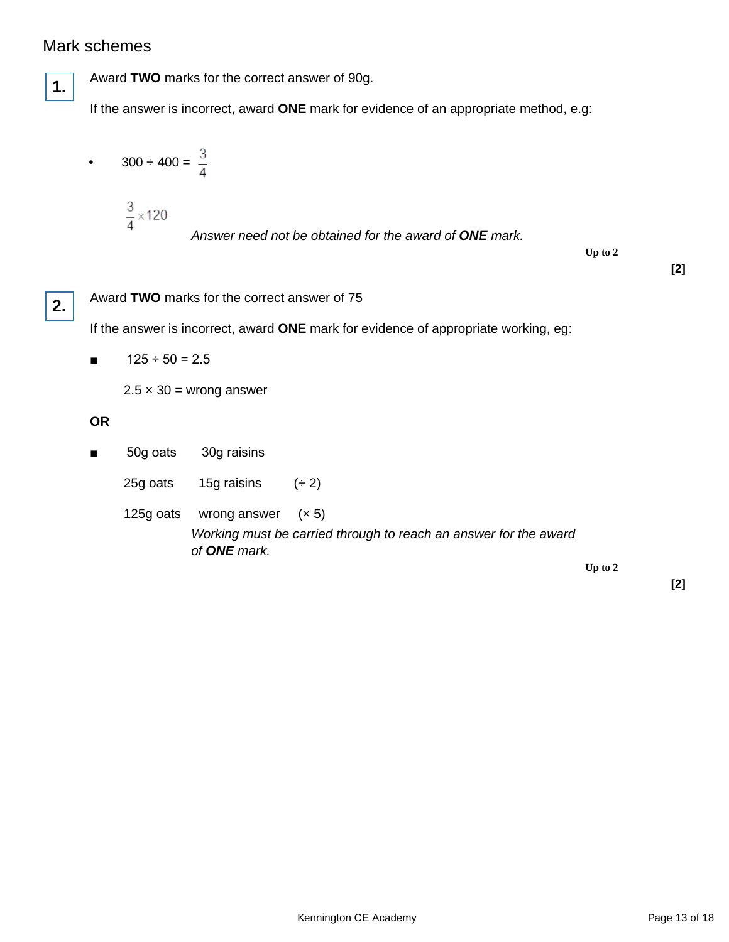## Mark schemes

![](_page_12_Picture_1.jpeg)

Award **TWO** marks for the correct answer of 90g.

If the answer is incorrect, award **ONE** mark for evidence of an appropriate method, e.g:

• 
$$
300 \div 400 = \frac{3}{4}
$$
  
 $\frac{3}{4} \times 120$   
Answer need not be obtained for the award of **ONE** mark.  
Up to 2

**[2]**

![](_page_12_Picture_6.jpeg)

Award **TWO** marks for the correct answer of 75

If the answer is incorrect, award **ONE** mark for evidence of appropriate working, eg:

 $\blacksquare$  125 ÷ 50 = 2.5

 $2.5 \times 30 =$  wrong answer

#### **OR**

- 50g oats 30g raisins
	- 25g oats 15g raisins  $(+ 2)$
	- 125g oats wrong answer (× 5) Working must be carried through to reach an answer for the award of **ONE** mark.

**Up to 2**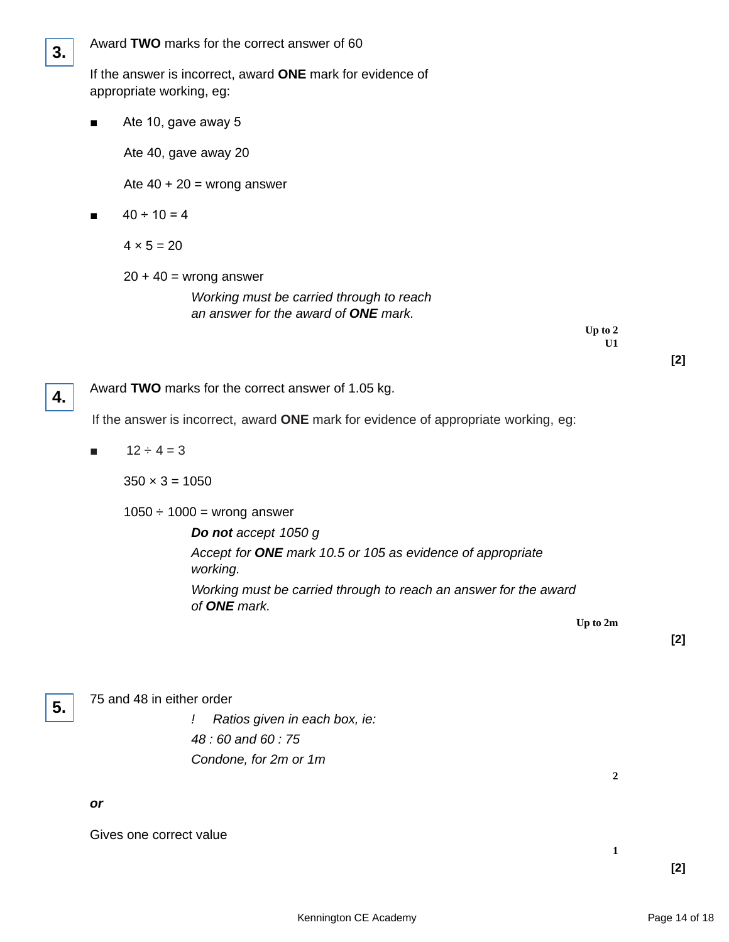| 3. |                                                                                     |                           | Award TWO marks for the correct answer of 60                                                                 |          |  |  |  |  |  |
|----|-------------------------------------------------------------------------------------|---------------------------|--------------------------------------------------------------------------------------------------------------|----------|--|--|--|--|--|
|    |                                                                                     | appropriate working, eg:  | If the answer is incorrect, award ONE mark for evidence of                                                   |          |  |  |  |  |  |
|    |                                                                                     | Ate 10, gave away 5       |                                                                                                              |          |  |  |  |  |  |
|    |                                                                                     | Ate 40, gave away 20      |                                                                                                              |          |  |  |  |  |  |
|    |                                                                                     |                           | Ate $40 + 20$ = wrong answer                                                                                 |          |  |  |  |  |  |
|    |                                                                                     | $40 \div 10 = 4$          |                                                                                                              |          |  |  |  |  |  |
|    |                                                                                     | $4 \times 5 = 20$         |                                                                                                              |          |  |  |  |  |  |
|    |                                                                                     |                           | $20 + 40 =$ wrong answer<br>Working must be carried through to reach<br>an answer for the award of ONE mark. | Up to 2  |  |  |  |  |  |
|    |                                                                                     |                           |                                                                                                              | U1       |  |  |  |  |  |
| 4. |                                                                                     |                           | Award TWO marks for the correct answer of 1.05 kg.                                                           |          |  |  |  |  |  |
|    | If the answer is incorrect, award ONE mark for evidence of appropriate working, eg: |                           |                                                                                                              |          |  |  |  |  |  |
|    | п                                                                                   | $12 \div 4 = 3$           |                                                                                                              |          |  |  |  |  |  |
|    |                                                                                     | $350 \times 3 = 1050$     |                                                                                                              |          |  |  |  |  |  |
|    |                                                                                     |                           | $1050 \div 1000 =$ wrong answer                                                                              |          |  |  |  |  |  |
|    |                                                                                     |                           | Do not accept 1050 g                                                                                         |          |  |  |  |  |  |
|    |                                                                                     |                           | Accept for ONE mark 10.5 or 105 as evidence of appropriate<br>working.                                       |          |  |  |  |  |  |
|    |                                                                                     |                           | Working must be carried through to reach an answer for the award<br>of ONE mark.                             |          |  |  |  |  |  |
|    |                                                                                     |                           |                                                                                                              | Up to 2m |  |  |  |  |  |
|    |                                                                                     |                           |                                                                                                              |          |  |  |  |  |  |
| 5. |                                                                                     | 75 and 48 in either order |                                                                                                              |          |  |  |  |  |  |
|    |                                                                                     |                           | Ratios given in each box, ie:                                                                                |          |  |  |  |  |  |
|    |                                                                                     |                           | 48:60 and 60:75                                                                                              |          |  |  |  |  |  |

Condone, for 2m or 1m

**or**

Gives one correct value

**2**

**1**

**[2]**

**[2]**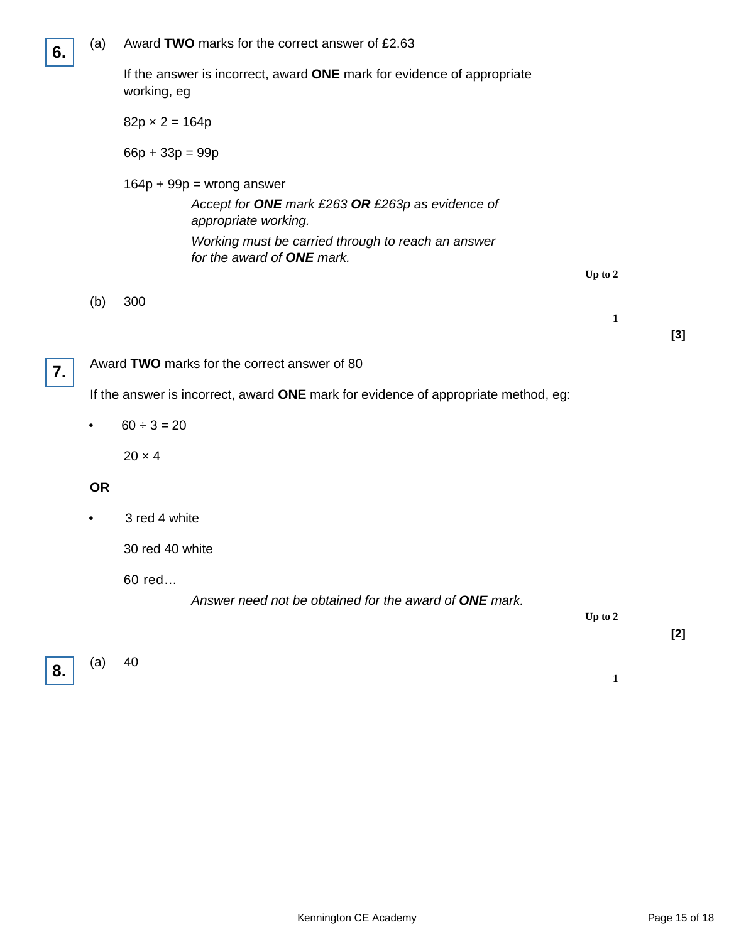| 6. | (a)       | Award TWO marks for the correct answer of £2.63                                                                                                                                             |              |  |  |  |  |  |  |  |
|----|-----------|---------------------------------------------------------------------------------------------------------------------------------------------------------------------------------------------|--------------|--|--|--|--|--|--|--|
|    |           | If the answer is incorrect, award ONE mark for evidence of appropriate<br>working, eg                                                                                                       |              |  |  |  |  |  |  |  |
|    |           | $82p \times 2 = 164p$                                                                                                                                                                       |              |  |  |  |  |  |  |  |
|    |           | $66p + 33p = 99p$                                                                                                                                                                           |              |  |  |  |  |  |  |  |
|    |           | $164p + 99p =$ wrong answer<br>Accept for ONE mark £263 OR £263p as evidence of<br>appropriate working.<br>Working must be carried through to reach an answer<br>for the award of ONE mark. | Up to 2      |  |  |  |  |  |  |  |
|    | (b)       | 300                                                                                                                                                                                         | $\mathbf{1}$ |  |  |  |  |  |  |  |
| 7. |           | Award TWO marks for the correct answer of 80                                                                                                                                                |              |  |  |  |  |  |  |  |
|    |           | If the answer is incorrect, award ONE mark for evidence of appropriate method, eg:                                                                                                          |              |  |  |  |  |  |  |  |
|    |           | $60 \div 3 = 20$                                                                                                                                                                            |              |  |  |  |  |  |  |  |
|    |           | $20 \times 4$                                                                                                                                                                               |              |  |  |  |  |  |  |  |
|    | <b>OR</b> |                                                                                                                                                                                             |              |  |  |  |  |  |  |  |
|    |           | 3 red 4 white                                                                                                                                                                               |              |  |  |  |  |  |  |  |
|    |           | 30 red 40 white                                                                                                                                                                             |              |  |  |  |  |  |  |  |
|    |           | 60 red<br>Answer need not be obtained for the award of ONE mark.                                                                                                                            | Up to 2      |  |  |  |  |  |  |  |

![](_page_14_Picture_1.jpeg)

 $(a)$  40

**1**

**[3]**

**[2]**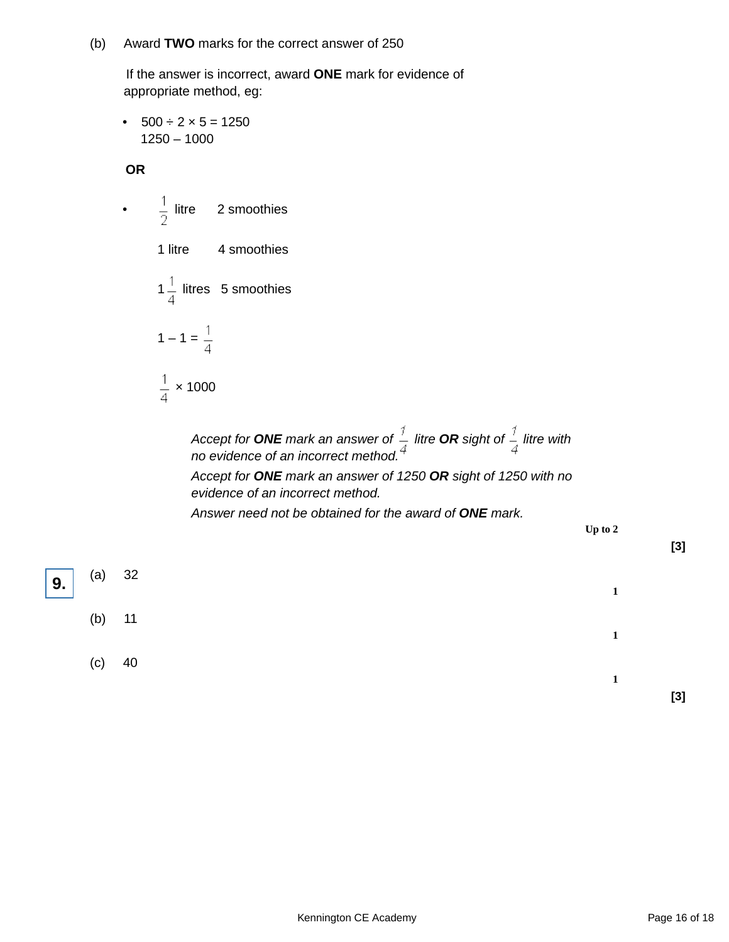(b) Award **TWO** marks for the correct answer of 250

 If the answer is incorrect, award **ONE** mark for evidence of appropriate method, eg:

•  $500 \div 2 \times 5 = 1250$ 1250 – 1000

**OR**

•  $\frac{1}{2}$  litre 2 smoothies 1 litre 4 smoothies  $1\frac{1}{4}$  litres 5 smoothies  $1 - 1 = \frac{1}{4}$  $\frac{1}{4}$  × 1000

> Accept for **ONE** mark an answer of  $\frac{1}{x}$  litre **OR** sight of  $\frac{1}{y}$  litre with no evidence of an incorrect method.

> Accept for **ONE** mark an answer of 1250 **OR** sight of 1250 with no evidence of an incorrect method.

Answer need not be obtained for the award of **ONE** mark.

**Up to 2**

**[3]**

![](_page_15_Figure_9.jpeg)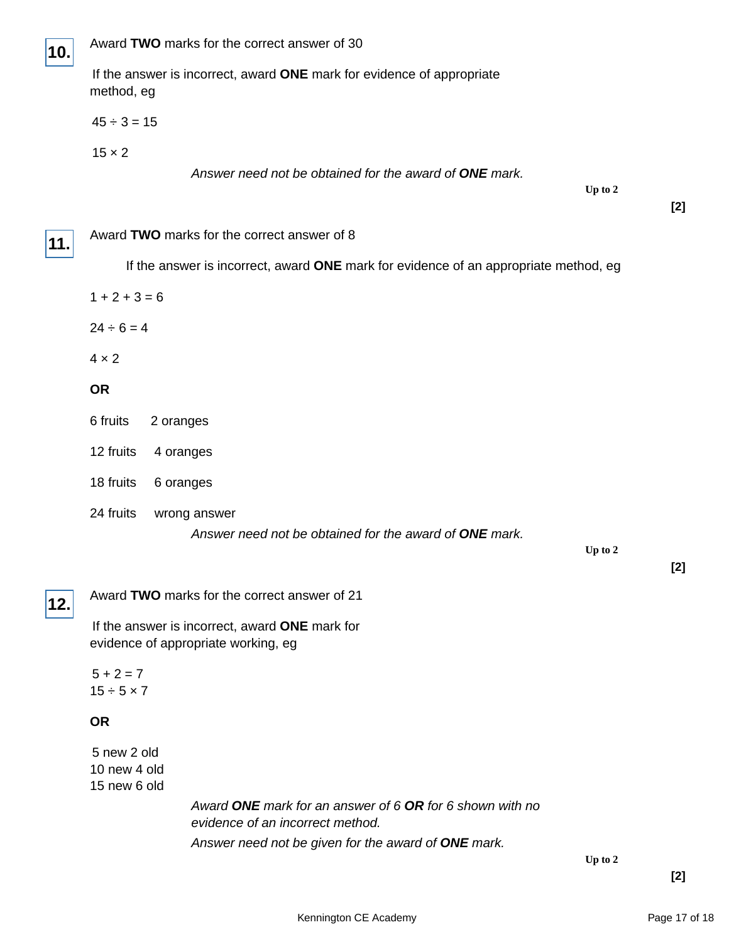![](_page_16_Picture_0.jpeg)

 If the answer is incorrect, award **ONE** mark for evidence of appropriate method, eg

 $45 \div 3 = 15$ 

 $15 \times 2$ 

Answer need not be obtained for the award of **ONE** mark.

**Up to 2**

**11.**

| Award TWO marks for the correct answer of 8 |  |  |
|---------------------------------------------|--|--|
|---------------------------------------------|--|--|

If the answer is incorrect, award **ONE** mark for evidence of an appropriate method, eg

| $1 + 2 + 3 = 6$ |  |  |  |
|-----------------|--|--|--|
|                 |  |  |  |

 $24 \div 6 = 4$ 

 $4 \times 2$ 

#### **OR**

- 6 fruits 2 oranges
- 12 fruits 4 oranges
- 18 fruits 6 oranges
- 24 fruits wrong answer

Answer need not be obtained for the award of **ONE** mark.

**Up to 2**

**[2]**

**[2]**

# **12.**

Award **TWO** marks for the correct answer of 21

 If the answer is incorrect, award **ONE** mark for evidence of appropriate working, eg

 $5 + 2 = 7$  $15 \div 5 \times 7$ 

#### **OR**

 5 new 2 old 10 new 4 old 15 new 6 old

> Award **ONE** mark for an answer of 6 **OR** for 6 shown with no evidence of an incorrect method. Answer need not be given for the award of **ONE** mark.

> > **Up to 2**

**[2]**